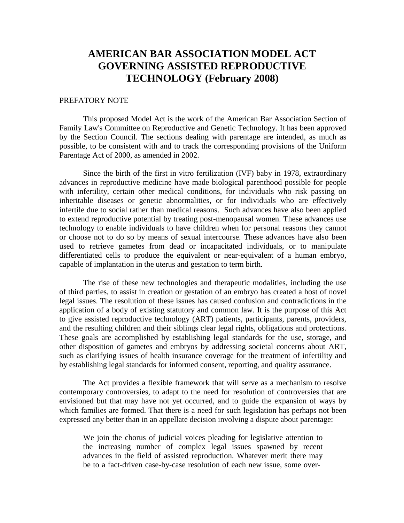# **AMERICAN BAR ASSOCIATION MODEL ACT GOVERNING ASSISTED REPRODUCTIVE TECHNOLOGY (February 2008)**

#### PREFATORY NOTE

This proposed Model Act is the work of the American Bar Association Section of Family Law's Committee on Reproductive and Genetic Technology. It has been approved by the Section Council. The sections dealing with parentage are intended, as much as possible, to be consistent with and to track the corresponding provisions of the Uniform Parentage Act of 2000, as amended in 2002.

Since the birth of the first in vitro fertilization (IVF) baby in 1978, extraordinary advances in reproductive medicine have made biological parenthood possible for people with infertility, certain other medical conditions, for individuals who risk passing on inheritable diseases or genetic abnormalities, or for individuals who are effectively infertile due to social rather than medical reasons. Such advances have also been applied to extend reproductive potential by treating post-menopausal women. These advances use technology to enable individuals to have children when for personal reasons they cannot or choose not to do so by means of sexual intercourse. These advances have also been used to retrieve gametes from dead or incapacitated individuals, or to manipulate differentiated cells to produce the equivalent or near-equivalent of a human embryo, capable of implantation in the uterus and gestation to term birth.

The rise of these new technologies and therapeutic modalities, including the use of third parties, to assist in creation or gestation of an embryo has created a host of novel legal issues. The resolution of these issues has caused confusion and contradictions in the application of a body of existing statutory and common law. It is the purpose of this Act to give assisted reproductive technology (ART) patients, participants, parents, providers, and the resulting children and their siblings clear legal rights, obligations and protections. These goals are accomplished by establishing legal standards for the use, storage, and other disposition of gametes and embryos by addressing societal concerns about ART, such as clarifying issues of health insurance coverage for the treatment of infertility and by establishing legal standards for informed consent, reporting, and quality assurance.

The Act provides a flexible framework that will serve as a mechanism to resolve contemporary controversies, to adapt to the need for resolution of controversies that are envisioned but that may have not yet occurred, and to guide the expansion of ways by which families are formed. That there is a need for such legislation has perhaps not been expressed any better than in an appellate decision involving a dispute about parentage:

We join the chorus of judicial voices pleading for legislative attention to the increasing number of complex legal issues spawned by recent advances in the field of assisted reproduction. Whatever merit there may be to a fact-driven case-by-case resolution of each new issue, some over-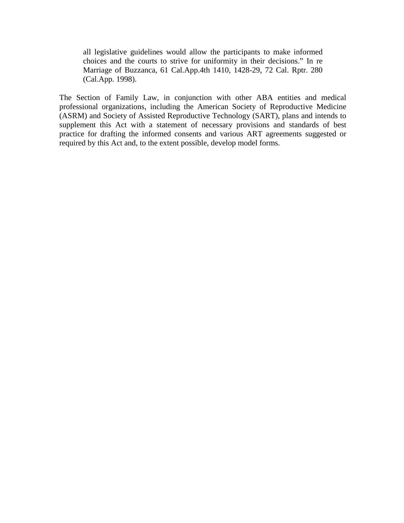all legislative guidelines would allow the participants to make informed choices and the courts to strive for uniformity in their decisions." In re Marriage of Buzzanca, 61 Cal.App.4th 1410, 1428-29, 72 Cal. Rptr. 280 (Cal.App. 1998).

The Section of Family Law, in conjunction with other ABA entities and medical professional organizations, including the American Society of Reproductive Medicine (ASRM) and Society of Assisted Reproductive Technology (SART), plans and intends to supplement this Act with a statement of necessary provisions and standards of best practice for drafting the informed consents and various ART agreements suggested or required by this Act and, to the extent possible, develop model forms.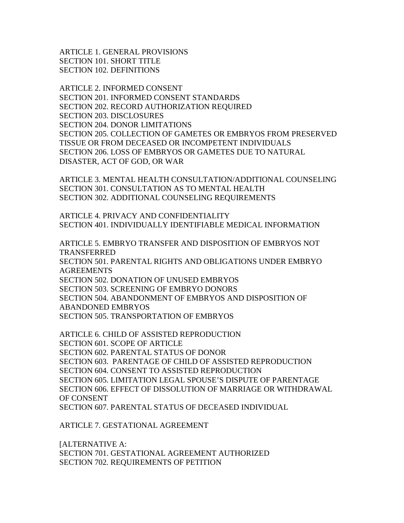ARTICLE 1. GENERAL PROVISIONS SECTION 101. SHORT TITLE SECTION 102. DEFINITIONS

ARTICLE 2. INFORMED CONSENT SECTION 201. INFORMED CONSENT STANDARDS SECTION 202. RECORD AUTHORIZATION REQUIRED SECTION 203. DISCLOSURES SECTION 204. DONOR LIMITATIONS SECTION 205. COLLECTION OF GAMETES OR EMBRYOS FROM PRESERVED TISSUE OR FROM DECEASED OR INCOMPETENT INDIVIDUALS SECTION 206. LOSS OF EMBRYOS OR GAMETES DUE TO NATURAL DISASTER, ACT OF GOD, OR WAR

ARTICLE 3. MENTAL HEALTH CONSULTATION/ADDITIONAL COUNSELING SECTION 301. CONSULTATION AS TO MENTAL HEALTH SECTION 302. ADDITIONAL COUNSELING REQUIREMENTS

ARTICLE 4. PRIVACY AND CONFIDENTIALITY SECTION 401. INDIVIDUALLY IDENTIFIABLE MEDICAL INFORMATION

ARTICLE 5. EMBRYO TRANSFER AND DISPOSITION OF EMBRYOS NOT TRANSFERRED SECTION 501. PARENTAL RIGHTS AND OBLIGATIONS UNDER EMBRYO AGREEMENTS SECTION 502. DONATION OF UNUSED EMBRYOS SECTION 503. SCREENING OF EMBRYO DONORS SECTION 504. ABANDONMENT OF EMBRYOS AND DISPOSITION OF ABANDONED EMBRYOS SECTION 505. TRANSPORTATION OF EMBRYOS

ARTICLE 6. CHILD OF ASSISTED REPRODUCTION SECTION 601. SCOPE OF ARTICLE SECTION 602. PARENTAL STATUS OF DONOR SECTION 603. PARENTAGE OF CHILD OF ASSISTED REPRODUCTION SECTION 604. CONSENT TO ASSISTED REPRODUCTION SECTION 605. LIMITATION LEGAL SPOUSE'S DISPUTE OF PARENTAGE SECTION 606. EFFECT OF DISSOLUTION OF MARRIAGE OR WITHDRAWAL OF CONSENT SECTION 607. PARENTAL STATUS OF DECEASED INDIVIDUAL

ARTICLE 7. GESTATIONAL AGREEMENT

[ALTERNATIVE A: SECTION 701. GESTATIONAL AGREEMENT AUTHORIZED SECTION 702. REQUIREMENTS OF PETITION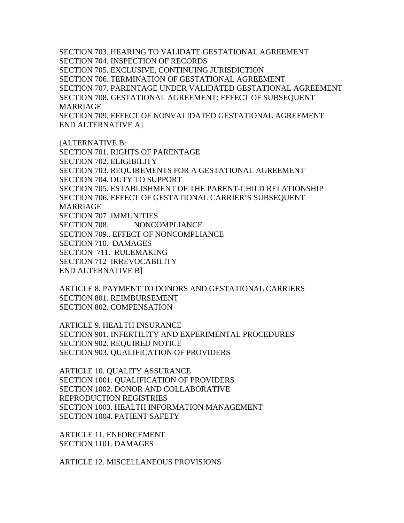SECTION 703. HEARING TO VALIDATE GESTATIONAL AGREEMENT SECTION 704. INSPECTION OF RECORDS SECTION 705. EXCLUSIVE, CONTINUING JURISDICTION SECTION 706. TERMINATION OF GESTATIONAL AGREEMENT SECTION 707. PARENTAGE UNDER VALIDATED GESTATIONAL AGREEMENT SECTION 708. GESTATIONAL AGREEMENT: EFFECT OF SUBSEQUENT MARRIAGE SECTION 709. EFFECT OF NONVALIDATED GESTATIONAL AGREEMENT

END ALTERNATIVE A]

[ALTERNATIVE B: SECTION 701. RIGHTS OF PARENTAGE SECTION 702. ELIGIBILITY SECTION 703. REQUIREMENTS FOR A GESTATIONAL AGREEMENT SECTION 704. DUTY TO SUPPORT SECTION 705. ESTABLISHMENT OF THE PARENT-CHILD RELATIONSHIP SECTION 706. EFFECT OF GESTATIONAL CARRIER'S SUBSEQUENT MARRIAGE SECTION 707 IMMUNITIES SECTION 708. NONCOMPLIANCE SECTION 709.. EFFECT OF NONCOMPLIANCE SECTION 710. DAMAGES SECTION 711. RULEMAKING SECTION 712 IRREVOCABILITY END ALTERNATIVE B]

ARTICLE 8. PAYMENT TO DONORS AND GESTATIONAL CARRIERS SECTION 801. REIMBURSEMENT SECTION 802. COMPENSATION

ARTICLE 9. HEALTH INSURANCE SECTION 901. INFERTILITY AND EXPERIMENTAL PROCEDURES SECTION 902. REQUIRED NOTICE SECTION 903. QUALIFICATION OF PROVIDERS

ARTICLE 10. QUALITY ASSURANCE SECTION 1001. QUALIFICATION OF PROVIDERS SECTION 1002. DONOR AND COLLABORATIVE REPRODUCTION REGISTRIES SECTION 1003. HEALTH INFORMATION MANAGEMENT SECTION 1004. PATIENT SAFETY

ARTICLE 11. ENFORCEMENT SECTION 1101. DAMAGES

ARTICLE 12. MISCELLANEOUS PROVISIONS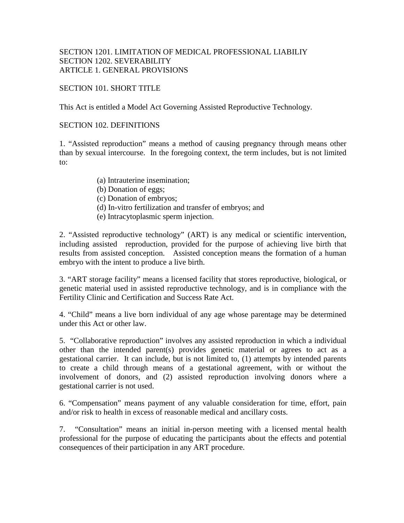## SECTION 1201. LIMITATION OF MEDICAL PROFESSIONAL LIABILIY SECTION 1202. SEVERABILITY ARTICLE 1. GENERAL PROVISIONS

## SECTION 101. SHORT TITLE

This Act is entitled a Model Act Governing Assisted Reproductive Technology.

#### SECTION 102. DEFINITIONS

1. "Assisted reproduction" means a method of causing pregnancy through means other than by sexual intercourse. In the foregoing context, the term includes, but is not limited to:

- (a) Intrauterine insemination;
- (b) Donation of eggs;
- (c) Donation of embryos;
- (d) In-vitro fertilization and transfer of embryos; and
- (e) Intracytoplasmic sperm injection.

2. "Assisted reproductive technology" (ART) is any medical or scientific intervention, including assisted reproduction, provided for the purpose of achieving live birth that results from assisted conception. Assisted conception means the formation of a human embryo with the intent to produce a live birth.

3. "ART storage facility" means a licensed facility that stores reproductive, biological, or genetic material used in assisted reproductive technology, and is in compliance with the Fertility Clinic and Certification and Success Rate Act.

4. "Child" means a live born individual of any age whose parentage may be determined under this Act or other law.

5. "Collaborative reproduction" involves any assisted reproduction in which a individual other than the intended parent(s) provides genetic material or agrees to act as a gestational carrier. It can include, but is not limited to, (1) attempts by intended parents to create a child through means of a gestational agreement, with or without the involvement of donors, and (2) assisted reproduction involving donors where a gestational carrier is not used.

6. "Compensation" means payment of any valuable consideration for time, effort, pain and/or risk to health in excess of reasonable medical and ancillary costs.

7. "Consultation" means an initial in-person meeting with a licensed mental health professional for the purpose of educating the participants about the effects and potential consequences of their participation in any ART procedure.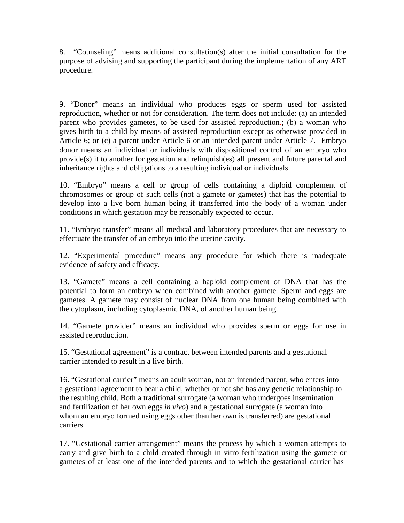8. "Counseling" means additional consultation(s) after the initial consultation for the purpose of advising and supporting the participant during the implementation of any ART procedure.

9. "Donor" means an individual who produces eggs or sperm used for assisted reproduction, whether or not for consideration. The term does not include: (a) an intended parent who provides gametes, to be used for assisted reproduction.; (b) a woman who gives birth to a child by means of assisted reproduction except as otherwise provided in Article 6; or (c) a parent under Article 6 or an intended parent under Article 7. Embryo donor means an individual or individuals with dispositional control of an embryo who provide(s) it to another for gestation and relinquish(es) all present and future parental and inheritance rights and obligations to a resulting individual or individuals.

10. "Embryo" means a cell or group of cells containing a diploid complement of chromosomes or group of such cells (not a gamete or gametes) that has the potential to develop into a live born human being if transferred into the body of a woman under conditions in which gestation may be reasonably expected to occur.

11. "Embryo transfer" means all medical and laboratory procedures that are necessary to effectuate the transfer of an embryo into the uterine cavity.

12. "Experimental procedure" means any procedure for which there is inadequate evidence of safety and efficacy.

13. "Gamete" means a cell containing a haploid complement of DNA that has the potential to form an embryo when combined with another gamete. Sperm and eggs are gametes. A gamete may consist of nuclear DNA from one human being combined with the cytoplasm, including cytoplasmic DNA, of another human being.

14. "Gamete provider" means an individual who provides sperm or eggs for use in assisted reproduction.

15. "Gestational agreement" is a contract between intended parents and a gestational carrier intended to result in a live birth.

16. "Gestational carrier" means an adult woman, not an intended parent, who enters into a gestational agreement to bear a child, whether or not she has any genetic relationship to the resulting child. Both a traditional surrogate (a woman who undergoes insemination and fertilization of her own eggs *in vivo*) and a gestational surrogate (a woman into whom an embryo formed using eggs other than her own is transferred) are gestational carriers.

17. "Gestational carrier arrangement" means the process by which a woman attempts to carry and give birth to a child created through in vitro fertilization using the gamete or gametes of at least one of the intended parents and to which the gestational carrier has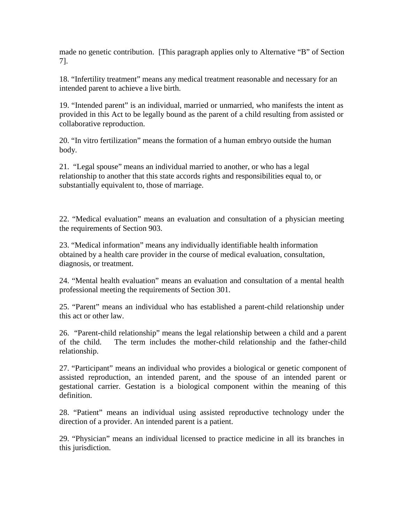made no genetic contribution. [This paragraph applies only to Alternative "B" of Section 7].

18. "Infertility treatment" means any medical treatment reasonable and necessary for an intended parent to achieve a live birth.

19. "Intended parent" is an individual, married or unmarried, who manifests the intent as provided in this Act to be legally bound as the parent of a child resulting from assisted or collaborative reproduction.

20. "In vitro fertilization" means the formation of a human embryo outside the human body.

21. "Legal spouse" means an individual married to another, or who has a legal relationship to another that this state accords rights and responsibilities equal to, or substantially equivalent to, those of marriage.

22. "Medical evaluation" means an evaluation and consultation of a physician meeting the requirements of Section 903.

23. "Medical information" means any individually identifiable health information obtained by a health care provider in the course of medical evaluation, consultation, diagnosis, or treatment.

24. "Mental health evaluation" means an evaluation and consultation of a mental health professional meeting the requirements of Section 301.

25. "Parent" means an individual who has established a parent-child relationship under this act or other law.

26. "Parent-child relationship" means the legal relationship between a child and a parent of the child. The term includes the mother-child relationship and the father-child relationship.

27. "Participant" means an individual who provides a biological or genetic component of assisted reproduction, an intended parent, and the spouse of an intended parent or gestational carrier. Gestation is a biological component within the meaning of this definition.

28. "Patient" means an individual using assisted reproductive technology under the direction of a provider. An intended parent is a patient.

29. "Physician" means an individual licensed to practice medicine in all its branches in this jurisdiction.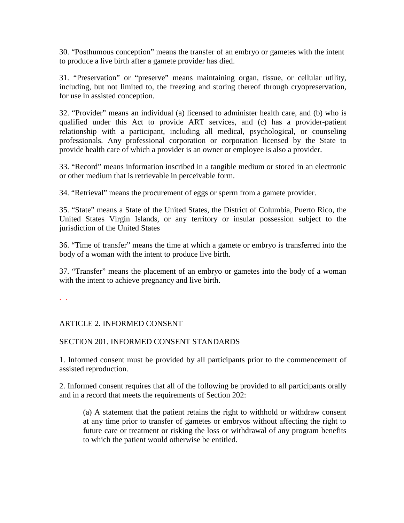30. "Posthumous conception" means the transfer of an embryo or gametes with the intent to produce a live birth after a gamete provider has died.

31. "Preservation" or "preserve" means maintaining organ, tissue, or cellular utility, including, but not limited to, the freezing and storing thereof through cryopreservation, for use in assisted conception.

32. "Provider" means an individual (a) licensed to administer health care, and (b) who is qualified under this Act to provide ART services, and (c) has a provider-patient relationship with a participant, including all medical, psychological, or counseling professionals. Any professional corporation or corporation licensed by the State to provide health care of which a provider is an owner or employee is also a provider.

33. "Record" means information inscribed in a tangible medium or stored in an electronic or other medium that is retrievable in perceivable form.

34. "Retrieval" means the procurement of eggs or sperm from a gamete provider.

35. "State" means a State of the United States, the District of Columbia, Puerto Rico, the United States Virgin Islands, or any territory or insular possession subject to the jurisdiction of the United States

36. "Time of transfer" means the time at which a gamete or embryo is transferred into the body of a woman with the intent to produce live birth.

37. "Transfer" means the placement of an embryo or gametes into the body of a woman with the intent to achieve pregnancy and live birth.

. .

# ARTICLE 2. INFORMED CONSENT

#### SECTION 201. INFORMED CONSENT STANDARDS

1. Informed consent must be provided by all participants prior to the commencement of assisted reproduction.

2. Informed consent requires that all of the following be provided to all participants orally and in a record that meets the requirements of Section 202:

(a) A statement that the patient retains the right to withhold or withdraw consent at any time prior to transfer of gametes or embryos without affecting the right to future care or treatment or risking the loss or withdrawal of any program benefits to which the patient would otherwise be entitled.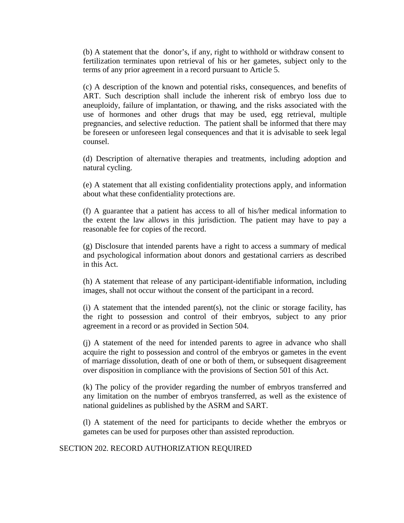(b) A statement that the donor's, if any, right to withhold or withdraw consent to fertilization terminates upon retrieval of his or her gametes, subject only to the terms of any prior agreement in a record pursuant to Article 5.

(c) A description of the known and potential risks, consequences, and benefits of ART. Such description shall include the inherent risk of embryo loss due to aneuploidy, failure of implantation, or thawing, and the risks associated with the use of hormones and other drugs that may be used, egg retrieval, multiple pregnancies, and selective reduction. The patient shall be informed that there may be foreseen or unforeseen legal consequences and that it is advisable to seek legal counsel.

(d) Description of alternative therapies and treatments, including adoption and natural cycling.

(e) A statement that all existing confidentiality protections apply, and information about what these confidentiality protections are.

(f) A guarantee that a patient has access to all of his/her medical information to the extent the law allows in this jurisdiction. The patient may have to pay a reasonable fee for copies of the record.

(g) Disclosure that intended parents have a right to access a summary of medical and psychological information about donors and gestational carriers as described in this Act.

(h) A statement that release of any participant-identifiable information, including images, shall not occur without the consent of the participant in a record.

 $(i)$  A statement that the intended parent(s), not the clinic or storage facility, has the right to possession and control of their embryos, subject to any prior agreement in a record or as provided in Section 504.

(j) A statement of the need for intended parents to agree in advance who shall acquire the right to possession and control of the embryos or gametes in the event of marriage dissolution, death of one or both of them, or subsequent disagreement over disposition in compliance with the provisions of Section 501 of this Act.

(k) The policy of the provider regarding the number of embryos transferred and any limitation on the number of embryos transferred, as well as the existence of national guidelines as published by the ASRM and SART.

(l) A statement of the need for participants to decide whether the embryos or gametes can be used for purposes other than assisted reproduction.

SECTION 202. RECORD AUTHORIZATION REQUIRED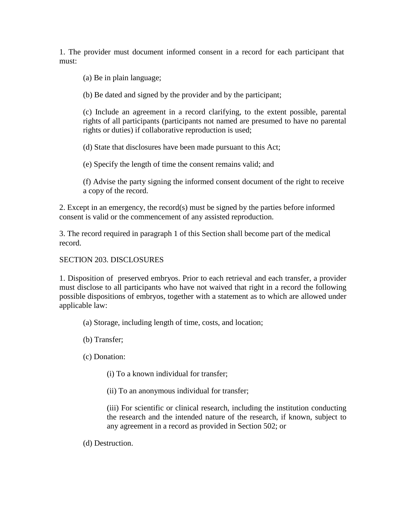1. The provider must document informed consent in a record for each participant that must:

(a) Be in plain language;

(b) Be dated and signed by the provider and by the participant;

(c) Include an agreement in a record clarifying, to the extent possible, parental rights of all participants (participants not named are presumed to have no parental rights or duties) if collaborative reproduction is used;

(d) State that disclosures have been made pursuant to this Act;

(e) Specify the length of time the consent remains valid; and

(f) Advise the party signing the informed consent document of the right to receive a copy of the record.

2. Except in an emergency, the record(s) must be signed by the parties before informed consent is valid or the commencement of any assisted reproduction.

3. The record required in paragraph 1 of this Section shall become part of the medical record.

## SECTION 203. DISCLOSURES

1. Disposition of preserved embryos. Prior to each retrieval and each transfer, a provider must disclose to all participants who have not waived that right in a record the following possible dispositions of embryos, together with a statement as to which are allowed under applicable law:

- (a) Storage, including length of time, costs, and location;
- (b) Transfer;

(c) Donation:

- (i) To a known individual for transfer;
- (ii) To an anonymous individual for transfer;

(iii) For scientific or clinical research, including the institution conducting the research and the intended nature of the research, if known, subject to any agreement in a record as provided in Section 502; or

(d) Destruction.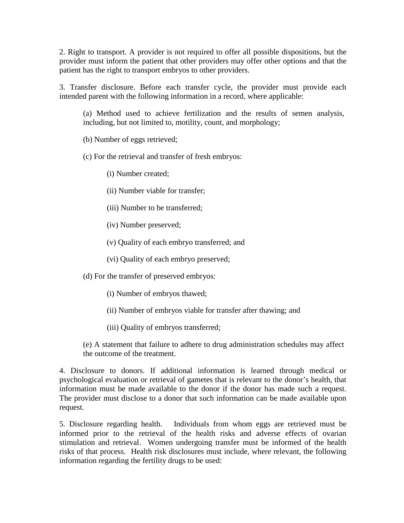2. Right to transport. A provider is not required to offer all possible dispositions, but the provider must inform the patient that other providers may offer other options and that the patient has the right to transport embryos to other providers.

3. Transfer disclosure. Before each transfer cycle, the provider must provide each intended parent with the following information in a record, where applicable:

(a) Method used to achieve fertilization and the results of semen analysis, including, but not limited to, motility, count, and morphology;

(b) Number of eggs retrieved;

(c) For the retrieval and transfer of fresh embryos:

(i) Number created;

(ii) Number viable for transfer;

(iii) Number to be transferred;

- (iv) Number preserved;
- (v) Quality of each embryo transferred; and
- (vi) Quality of each embryo preserved;

(d) For the transfer of preserved embryos:

- (i) Number of embryos thawed;
- (ii) Number of embryos viable for transfer after thawing; and
- (iii) Quality of embryos transferred;

(e) A statement that failure to adhere to drug administration schedules may affect the outcome of the treatment.

4. Disclosure to donors. If additional information is learned through medical or psychological evaluation or retrieval of gametes that is relevant to the donor's health, that information must be made available to the donor if the donor has made such a request. The provider must disclose to a donor that such information can be made available upon request.

5. Disclosure regarding health. Individuals from whom eggs are retrieved must be informed prior to the retrieval of the health risks and adverse effects of ovarian stimulation and retrieval. Women undergoing transfer must be informed of the health risks of that process. Health risk disclosures must include, where relevant, the following information regarding the fertility drugs to be used: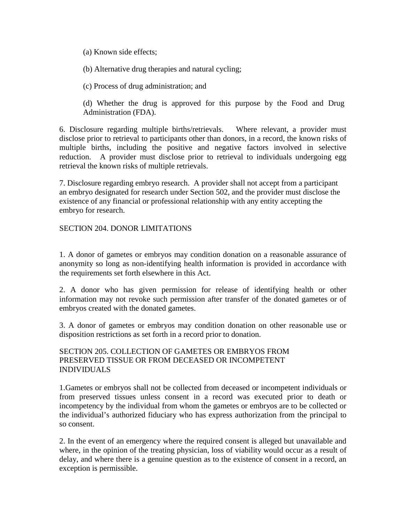(a) Known side effects;

(b) Alternative drug therapies and natural cycling;

(c) Process of drug administration; and

(d) Whether the drug is approved for this purpose by the Food and Drug Administration (FDA).

6. Disclosure regarding multiple births/retrievals. Where relevant, a provider must disclose prior to retrieval to participants other than donors, in a record, the known risks of multiple births, including the positive and negative factors involved in selective reduction. A provider must disclose prior to retrieval to individuals undergoing egg retrieval the known risks of multiple retrievals.

7. Disclosure regarding embryo research. A provider shall not accept from a participant an embryo designated for research under Section 502, and the provider must disclose the existence of any financial or professional relationship with any entity accepting the embryo for research.

## SECTION 204. DONOR LIMITATIONS

1. A donor of gametes or embryos may condition donation on a reasonable assurance of anonymity so long as non-identifying health information is provided in accordance with the requirements set forth elsewhere in this Act.

2. A donor who has given permission for release of identifying health or other information may not revoke such permission after transfer of the donated gametes or of embryos created with the donated gametes.

3. A donor of gametes or embryos may condition donation on other reasonable use or disposition restrictions as set forth in a record prior to donation.

## SECTION 205. COLLECTION OF GAMETES OR EMBRYOS FROM PRESERVED TISSUE OR FROM DECEASED OR INCOMPETENT INDIVIDUALS

1.Gametes or embryos shall not be collected from deceased or incompetent individuals or from preserved tissues unless consent in a record was executed prior to death or incompetency by the individual from whom the gametes or embryos are to be collected or the individual's authorized fiduciary who has express authorization from the principal to so consent.

2. In the event of an emergency where the required consent is alleged but unavailable and where, in the opinion of the treating physician, loss of viability would occur as a result of delay, and where there is a genuine question as to the existence of consent in a record, an exception is permissible.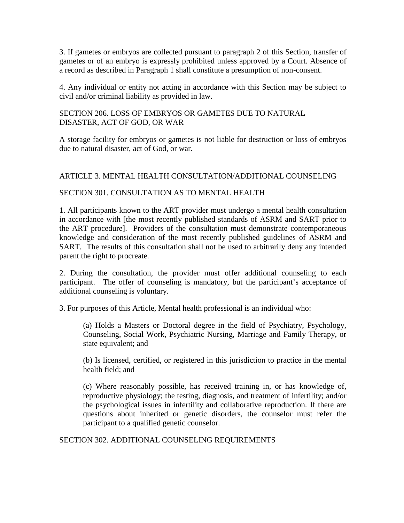3. If gametes or embryos are collected pursuant to paragraph 2 of this Section, transfer of gametes or of an embryo is expressly prohibited unless approved by a Court. Absence of a record as described in Paragraph 1 shall constitute a presumption of non-consent.

4. Any individual or entity not acting in accordance with this Section may be subject to civil and/or criminal liability as provided in law.

SECTION 206. LOSS OF EMBRYOS OR GAMETES DUE TO NATURAL DISASTER, ACT OF GOD, OR WAR

A storage facility for embryos or gametes is not liable for destruction or loss of embryos due to natural disaster, act of God, or war.

# ARTICLE 3. MENTAL HEALTH CONSULTATION/ADDITIONAL COUNSELING

#### SECTION 301. CONSULTATION AS TO MENTAL HEALTH

1. All participants known to the ART provider must undergo a mental health consultation in accordance with [the most recently published standards of ASRM and SART prior to the ART procedure]. Providers of the consultation must demonstrate contemporaneous knowledge and consideration of the most recently published guidelines of ASRM and SART. The results of this consultation shall not be used to arbitrarily deny any intended parent the right to procreate.

2. During the consultation, the provider must offer additional counseling to each participant. The offer of counseling is mandatory, but the participant's acceptance of additional counseling is voluntary.

3. For purposes of this Article, Mental health professional is an individual who:

(a) Holds a Masters or Doctoral degree in the field of Psychiatry, Psychology, Counseling, Social Work, Psychiatric Nursing, Marriage and Family Therapy, or state equivalent; and

(b) Is licensed, certified, or registered in this jurisdiction to practice in the mental health field; and

(c) Where reasonably possible, has received training in, or has knowledge of, reproductive physiology; the testing, diagnosis, and treatment of infertility; and/or the psychological issues in infertility and collaborative reproduction. If there are questions about inherited or genetic disorders, the counselor must refer the participant to a qualified genetic counselor.

SECTION 302. ADDITIONAL COUNSELING REQUIREMENTS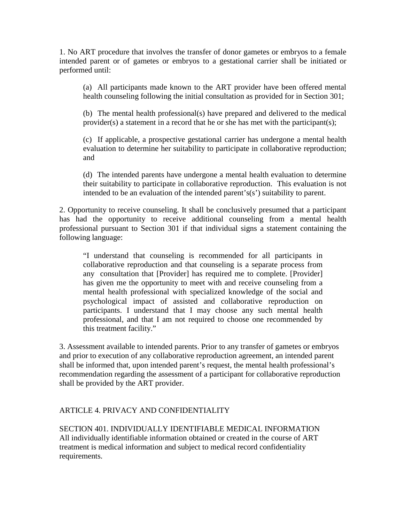1. No ART procedure that involves the transfer of donor gametes or embryos to a female intended parent or of gametes or embryos to a gestational carrier shall be initiated or performed until:

(a) All participants made known to the ART provider have been offered mental health counseling following the initial consultation as provided for in Section 301;

(b) The mental health professional(s) have prepared and delivered to the medical provider(s) a statement in a record that he or she has met with the participant(s);

(c) If applicable, a prospective gestational carrier has undergone a mental health evaluation to determine her suitability to participate in collaborative reproduction; and

(d) The intended parents have undergone a mental health evaluation to determine their suitability to participate in collaborative reproduction. This evaluation is not intended to be an evaluation of the intended parent's(s') suitability to parent.

2. Opportunity to receive counseling. It shall be conclusively presumed that a participant has had the opportunity to receive additional counseling from a mental health professional pursuant to Section 301 if that individual signs a statement containing the following language:

"I understand that counseling is recommended for all participants in collaborative reproduction and that counseling is a separate process from any consultation that [Provider] has required me to complete. [Provider] has given me the opportunity to meet with and receive counseling from a mental health professional with specialized knowledge of the social and psychological impact of assisted and collaborative reproduction on participants. I understand that I may choose any such mental health professional, and that I am not required to choose one recommended by this treatment facility."

3. Assessment available to intended parents. Prior to any transfer of gametes or embryos and prior to execution of any collaborative reproduction agreement, an intended parent shall be informed that, upon intended parent's request, the mental health professional's recommendation regarding the assessment of a participant for collaborative reproduction shall be provided by the ART provider.

# ARTICLE 4. PRIVACY AND CONFIDENTIALITY

SECTION 401. INDIVIDUALLY IDENTIFIABLE MEDICAL INFORMATION All individually identifiable information obtained or created in the course of ART treatment is medical information and subject to medical record confidentiality requirements.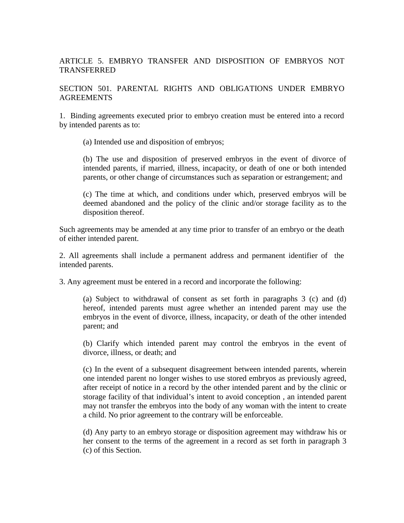## ARTICLE 5. EMBRYO TRANSFER AND DISPOSITION OF EMBRYOS NOT TRANSFERRED

## SECTION 501. PARENTAL RIGHTS AND OBLIGATIONS UNDER EMBRYO AGREEMENTS

1. Binding agreements executed prior to embryo creation must be entered into a record by intended parents as to:

(a) Intended use and disposition of embryos;

(b) The use and disposition of preserved embryos in the event of divorce of intended parents, if married, illness, incapacity, or death of one or both intended parents, or other change of circumstances such as separation or estrangement; and

(c) The time at which, and conditions under which, preserved embryos will be deemed abandoned and the policy of the clinic and/or storage facility as to the disposition thereof.

Such agreements may be amended at any time prior to transfer of an embryo or the death of either intended parent.

2. All agreements shall include a permanent address and permanent identifier of the intended parents.

3. Any agreement must be entered in a record and incorporate the following:

(a) Subject to withdrawal of consent as set forth in paragraphs 3 (c) and (d) hereof, intended parents must agree whether an intended parent may use the embryos in the event of divorce, illness, incapacity, or death of the other intended parent; and

(b) Clarify which intended parent may control the embryos in the event of divorce, illness, or death; and

(c) In the event of a subsequent disagreement between intended parents, wherein one intended parent no longer wishes to use stored embryos as previously agreed, after receipt of notice in a record by the other intended parent and by the clinic or storage facility of that individual's intent to avoid conception , an intended parent may not transfer the embryos into the body of any woman with the intent to create a child. No prior agreement to the contrary will be enforceable.

(d) Any party to an embryo storage or disposition agreement may withdraw his or her consent to the terms of the agreement in a record as set forth in paragraph 3 (c) of this Section.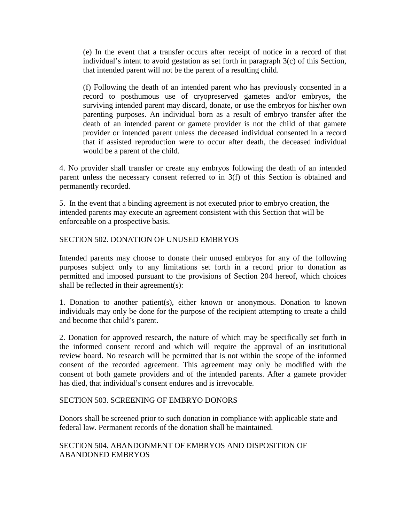(e) In the event that a transfer occurs after receipt of notice in a record of that individual's intent to avoid gestation as set forth in paragraph 3(c) of this Section, that intended parent will not be the parent of a resulting child.

(f) Following the death of an intended parent who has previously consented in a record to posthumous use of cryopreserved gametes and/or embryos, the surviving intended parent may discard, donate, or use the embryos for his/her own parenting purposes. An individual born as a result of embryo transfer after the death of an intended parent or gamete provider is not the child of that gamete provider or intended parent unless the deceased individual consented in a record that if assisted reproduction were to occur after death, the deceased individual would be a parent of the child.

4. No provider shall transfer or create any embryos following the death of an intended parent unless the necessary consent referred to in 3(f) of this Section is obtained and permanently recorded.

5. In the event that a binding agreement is not executed prior to embryo creation, the intended parents may execute an agreement consistent with this Section that will be enforceable on a prospective basis.

## SECTION 502. DONATION OF UNUSED EMBRYOS

Intended parents may choose to donate their unused embryos for any of the following purposes subject only to any limitations set forth in a record prior to donation as permitted and imposed pursuant to the provisions of Section 204 hereof, which choices shall be reflected in their agreement(s):

1. Donation to another patient(s), either known or anonymous. Donation to known individuals may only be done for the purpose of the recipient attempting to create a child and become that child's parent.

2. Donation for approved research, the nature of which may be specifically set forth in the informed consent record and which will require the approval of an institutional review board. No research will be permitted that is not within the scope of the informed consent of the recorded agreement. This agreement may only be modified with the consent of both gamete providers and of the intended parents. After a gamete provider has died, that individual's consent endures and is irrevocable.

#### SECTION 503. SCREENING OF EMBRYO DONORS

Donors shall be screened prior to such donation in compliance with applicable state and federal law. Permanent records of the donation shall be maintained.

SECTION 504. ABANDONMENT OF EMBRYOS AND DISPOSITION OF ABANDONED EMBRYOS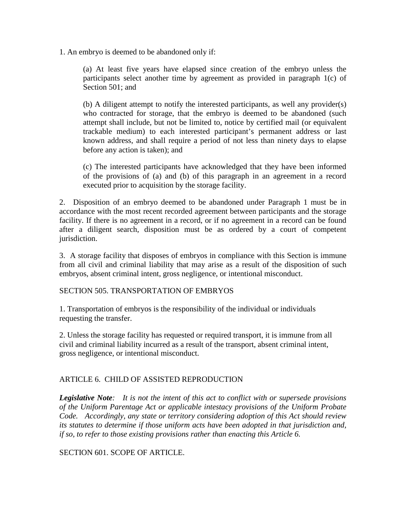1. An embryo is deemed to be abandoned only if:

(a) At least five years have elapsed since creation of the embryo unless the participants select another time by agreement as provided in paragraph 1(c) of Section 501; and

(b) A diligent attempt to notify the interested participants, as well any provider(s) who contracted for storage, that the embryo is deemed to be abandoned (such attempt shall include, but not be limited to, notice by certified mail (or equivalent trackable medium) to each interested participant's permanent address or last known address, and shall require a period of not less than ninety days to elapse before any action is taken); and

(c) The interested participants have acknowledged that they have been informed of the provisions of (a) and (b) of this paragraph in an agreement in a record executed prior to acquisition by the storage facility.

2. Disposition of an embryo deemed to be abandoned under Paragraph 1 must be in accordance with the most recent recorded agreement between participants and the storage facility. If there is no agreement in a record, or if no agreement in a record can be found after a diligent search, disposition must be as ordered by a court of competent jurisdiction.

3. A storage facility that disposes of embryos in compliance with this Section is immune from all civil and criminal liability that may arise as a result of the disposition of such embryos, absent criminal intent, gross negligence, or intentional misconduct.

SECTION 505. TRANSPORTATION OF EMBRYOS

1. Transportation of embryos is the responsibility of the individual or individuals requesting the transfer.

2. Unless the storage facility has requested or required transport, it is immune from all civil and criminal liability incurred as a result of the transport, absent criminal intent, gross negligence, or intentional misconduct.

#### ARTICLE 6. CHILD OF ASSISTED REPRODUCTION

*Legislative Note: It is not the intent of this act to conflict with or supersede provisions of the Uniform Parentage Act or applicable intestacy provisions of the Uniform Probate Code. Accordingly, any state or territory considering adoption of this Act should review its statutes to determine if those uniform acts have been adopted in that jurisdiction and, if so, to refer to those existing provisions rather than enacting this Article 6.*

SECTION 601. SCOPE OF ARTICLE.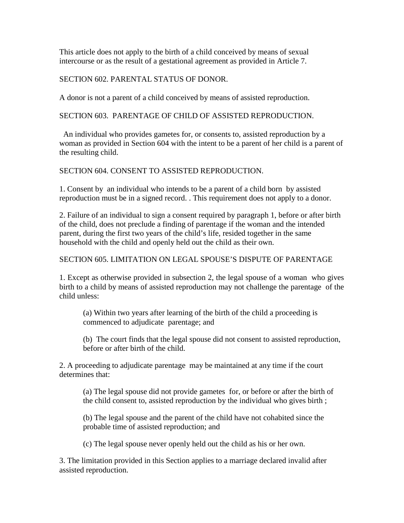This article does not apply to the birth of a child conceived by means of sexual intercourse or as the result of a gestational agreement as provided in Article 7.

SECTION 602. PARENTAL STATUS OF DONOR.

A donor is not a parent of a child conceived by means of assisted reproduction.

SECTION 603. PARENTAGE OF CHILD OF ASSISTED REPRODUCTION.

An individual who provides gametes for, or consents to, assisted reproduction by a woman as provided in Section 604 with the intent to be a parent of her child is a parent of the resulting child.

SECTION 604. CONSENT TO ASSISTED REPRODUCTION.

1. Consent by an individual who intends to be a parent of a child born by assisted reproduction must be in a signed record. . This requirement does not apply to a donor.

2. Failure of an individual to sign a consent required by paragraph 1, before or after birth of the child, does not preclude a finding of parentage if the woman and the intended parent, during the first two years of the child's life, resided together in the same household with the child and openly held out the child as their own.

SECTION 605. LIMITATION ON LEGAL SPOUSE'S DISPUTE OF PARENTAGE

1. Except as otherwise provided in subsection 2, the legal spouse of a woman who gives birth to a child by means of assisted reproduction may not challenge the parentage of the child unless:

(a) Within two years after learning of the birth of the child a proceeding is commenced to adjudicate parentage; and

(b) The court finds that the legal spouse did not consent to assisted reproduction, before or after birth of the child.

2. A proceeding to adjudicate parentage may be maintained at any time if the court determines that:

(a) The legal spouse did not provide gametes for, or before or after the birth of the child consent to, assisted reproduction by the individual who gives birth ;

(b) The legal spouse and the parent of the child have not cohabited since the probable time of assisted reproduction; and

(c) The legal spouse never openly held out the child as his or her own.

3. The limitation provided in this Section applies to a marriage declared invalid after assisted reproduction.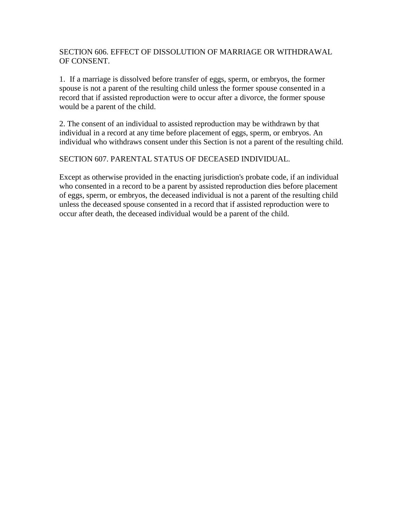## SECTION 606. EFFECT OF DISSOLUTION OF MARRIAGE OR WITHDRAWAL OF CONSENT.

1. If a marriage is dissolved before transfer of eggs, sperm, or embryos, the former spouse is not a parent of the resulting child unless the former spouse consented in a record that if assisted reproduction were to occur after a divorce, the former spouse would be a parent of the child.

2. The consent of an individual to assisted reproduction may be withdrawn by that individual in a record at any time before placement of eggs, sperm, or embryos. An individual who withdraws consent under this Section is not a parent of the resulting child.

#### SECTION 607. PARENTAL STATUS OF DECEASED INDIVIDUAL.

Except as otherwise provided in the enacting jurisdiction's probate code, if an individual who consented in a record to be a parent by assisted reproduction dies before placement of eggs, sperm, or embryos, the deceased individual is not a parent of the resulting child unless the deceased spouse consented in a record that if assisted reproduction were to occur after death, the deceased individual would be a parent of the child.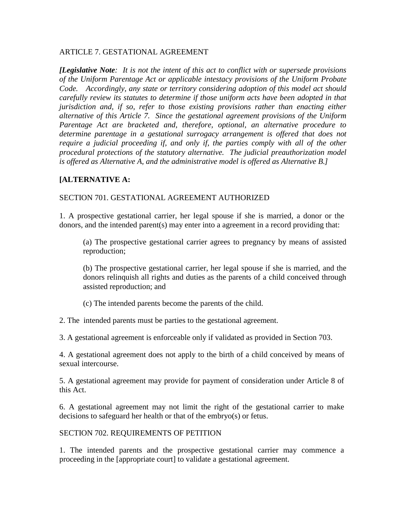#### ARTICLE 7. GESTATIONAL AGREEMENT

*[Legislative Note: It is not the intent of this act to conflict with or supersede provisions of the Uniform Parentage Act or applicable intestacy provisions of the Uniform Probate Code. Accordingly, any state or territory considering adoption of this model act should carefully review its statutes to determine if those uniform acts have been adopted in that jurisdiction and, if so, refer to those existing provisions rather than enacting either alternative of this Article 7. Since the gestational agreement provisions of the Uniform Parentage Act are bracketed and, therefore, optional, an alternative procedure to determine parentage in a gestational surrogacy arrangement is offered that does not require a judicial proceeding if, and only if, the parties comply with all of the other procedural protections of the statutory alternative. The judicial preauthorization model is offered as Alternative A, and the administrative model is offered as Alternative B.]*

#### **[ALTERNATIVE A:**

#### SECTION 701. GESTATIONAL AGREEMENT AUTHORIZED

1. A prospective gestational carrier, her legal spouse if she is married, a donor or the donors, and the intended parent(s) may enter into a agreement in a record providing that:

(a) The prospective gestational carrier agrees to pregnancy by means of assisted reproduction;

(b) The prospective gestational carrier, her legal spouse if she is married, and the donors relinquish all rights and duties as the parents of a child conceived through assisted reproduction; and

(c) The intended parents become the parents of the child.

2. The intended parents must be parties to the gestational agreement.

3. A gestational agreement is enforceable only if validated as provided in Section 703.

4. A gestational agreement does not apply to the birth of a child conceived by means of sexual intercourse.

5. A gestational agreement may provide for payment of consideration under Article 8 of this Act.

6. A gestational agreement may not limit the right of the gestational carrier to make decisions to safeguard her health or that of the embryo(s) or fetus.

#### SECTION 702. REQUIREMENTS OF PETITION

1. The intended parents and the prospective gestational carrier may commence a proceeding in the [appropriate court] to validate a gestational agreement.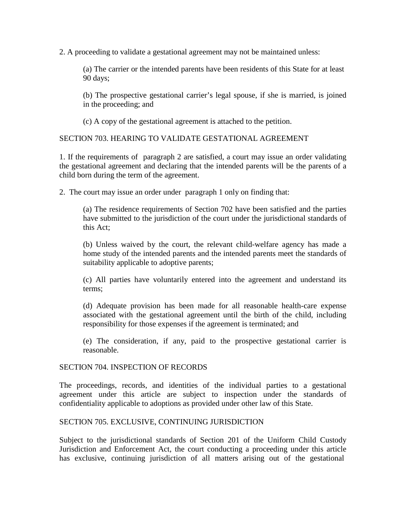2. A proceeding to validate a gestational agreement may not be maintained unless:

(a) The carrier or the intended parents have been residents of this State for at least 90 days;

(b) The prospective gestational carrier's legal spouse, if she is married, is joined in the proceeding; and

(c) A copy of the gestational agreement is attached to the petition.

SECTION 703. HEARING TO VALIDATE GESTATIONAL AGREEMENT

1. If the requirements of paragraph 2 are satisfied, a court may issue an order validating the gestational agreement and declaring that the intended parents will be the parents of a child born during the term of the agreement.

2. The court may issue an order under paragraph 1 only on finding that:

(a) The residence requirements of Section 702 have been satisfied and the parties have submitted to the jurisdiction of the court under the jurisdictional standards of this Act;

(b) Unless waived by the court, the relevant child-welfare agency has made a home study of the intended parents and the intended parents meet the standards of suitability applicable to adoptive parents;

(c) All parties have voluntarily entered into the agreement and understand its terms;

(d) Adequate provision has been made for all reasonable health-care expense associated with the gestational agreement until the birth of the child, including responsibility for those expenses if the agreement is terminated; and

(e) The consideration, if any, paid to the prospective gestational carrier is reasonable.

#### SECTION 704. INSPECTION OF RECORDS

The proceedings, records, and identities of the individual parties to a gestational agreement under this article are subject to inspection under the standards of confidentiality applicable to adoptions as provided under other law of this State.

#### SECTION 705. EXCLUSIVE, CONTINUING JURISDICTION

Subject to the jurisdictional standards of Section 201 of the Uniform Child Custody Jurisdiction and Enforcement Act, the court conducting a proceeding under this article has exclusive, continuing jurisdiction of all matters arising out of the gestational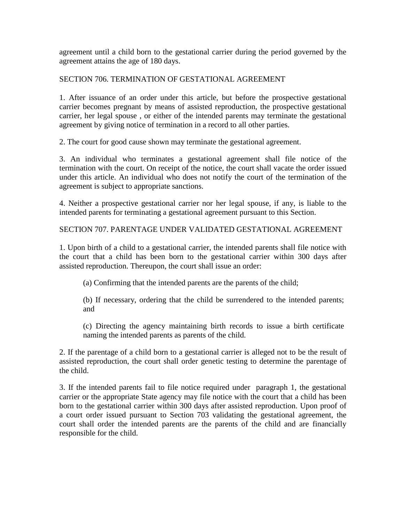agreement until a child born to the gestational carrier during the period governed by the agreement attains the age of 180 days.

## SECTION 706. TERMINATION OF GESTATIONAL AGREEMENT

1. After issuance of an order under this article, but before the prospective gestational carrier becomes pregnant by means of assisted reproduction, the prospective gestational carrier, her legal spouse , or either of the intended parents may terminate the gestational agreement by giving notice of termination in a record to all other parties.

2. The court for good cause shown may terminate the gestational agreement.

3. An individual who terminates a gestational agreement shall file notice of the termination with the court. On receipt of the notice, the court shall vacate the order issued under this article. An individual who does not notify the court of the termination of the agreement is subject to appropriate sanctions.

4. Neither a prospective gestational carrier nor her legal spouse, if any, is liable to the intended parents for terminating a gestational agreement pursuant to this Section.

# SECTION 707. PARENTAGE UNDER VALIDATED GESTATIONAL AGREEMENT

1. Upon birth of a child to a gestational carrier, the intended parents shall file notice with the court that a child has been born to the gestational carrier within 300 days after assisted reproduction. Thereupon, the court shall issue an order:

(a) Confirming that the intended parents are the parents of the child;

(b) If necessary, ordering that the child be surrendered to the intended parents; and

(c) Directing the agency maintaining birth records to issue a birth certificate naming the intended parents as parents of the child.

2. If the parentage of a child born to a gestational carrier is alleged not to be the result of assisted reproduction, the court shall order genetic testing to determine the parentage of the child.

3. If the intended parents fail to file notice required under paragraph 1, the gestational carrier or the appropriate State agency may file notice with the court that a child has been born to the gestational carrier within 300 days after assisted reproduction. Upon proof of a court order issued pursuant to Section 703 validating the gestational agreement, the court shall order the intended parents are the parents of the child and are financially responsible for the child.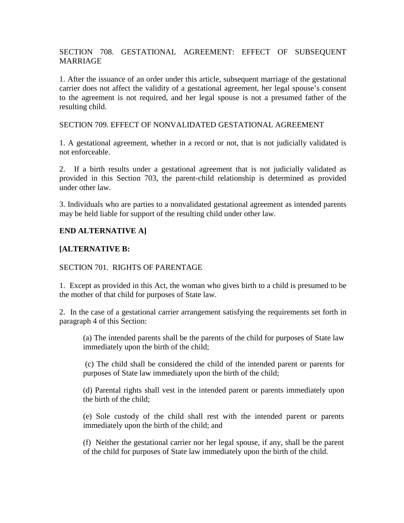## SECTION 708. GESTATIONAL AGREEMENT: EFFECT OF SUBSEQUENT **MARRIAGE**

1. After the issuance of an order under this article, subsequent marriage of the gestational carrier does not affect the validity of a gestational agreement, her legal spouse's consent to the agreement is not required, and her legal spouse is not a presumed father of the resulting child.

#### SECTION 709. EFFECT OF NONVALIDATED GESTATIONAL AGREEMENT

1. A gestational agreement, whether in a record or not, that is not judicially validated is not enforceable.

2. If a birth results under a gestational agreement that is not judicially validated as provided in this Section 703, the parent-child relationship is determined as provided under other law.

3. Individuals who are parties to a nonvalidated gestational agreement as intended parents may be held liable for support of the resulting child under other law.

# **END ALTERNATIVE A]**

# **[ALTERNATIVE B:**

#### SECTION 701. RIGHTS OF PARENTAGE

1. Except as provided in this Act, the woman who gives birth to a child is presumed to be the mother of that child for purposes of State law.

2. In the case of a gestational carrier arrangement satisfying the requirements set forth in paragraph 4 of this Section:

(a) The intended parents shall be the parents of the child for purposes of State law immediately upon the birth of the child;

(c) The child shall be considered the child of the intended parent or parents for purposes of State law immediately upon the birth of the child;

(d) Parental rights shall vest in the intended parent or parents immediately upon the birth of the child;

(e) Sole custody of the child shall rest with the intended parent or parents immediately upon the birth of the child; and

(f) Neither the gestational carrier nor her legal spouse, if any, shall be the parent of the child for purposes of State law immediately upon the birth of the child.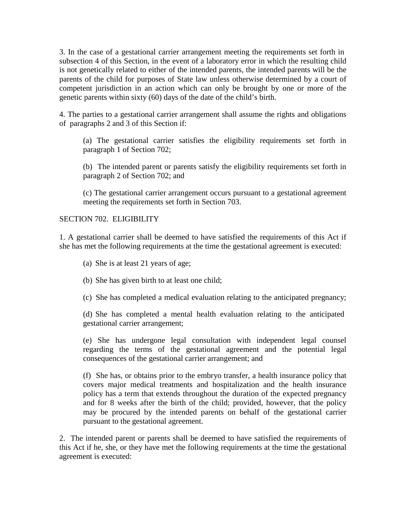3. In the case of a gestational carrier arrangement meeting the requirements set forth in subsection 4 of this Section, in the event of a laboratory error in which the resulting child is not genetically related to either of the intended parents, the intended parents will be the parents of the child for purposes of State law unless otherwise determined by a court of competent jurisdiction in an action which can only be brought by one or more of the genetic parents within sixty (60) days of the date of the child's birth.

4. The parties to a gestational carrier arrangement shall assume the rights and obligations of paragraphs 2 and 3 of this Section if:

(a) The gestational carrier satisfies the eligibility requirements set forth in paragraph 1 of Section 702;

(b) The intended parent or parents satisfy the eligibility requirements set forth in paragraph 2 of Section 702; and

(c) The gestational carrier arrangement occurs pursuant to a gestational agreement meeting the requirements set forth in Section 703.

SECTION 702. ELIGIBILITY

1. A gestational carrier shall be deemed to have satisfied the requirements of this Act if she has met the following requirements at the time the gestational agreement is executed:

- (a) She is at least 21 years of age;
- (b) She has given birth to at least one child;
- (c) She has completed a medical evaluation relating to the anticipated pregnancy;

(d) She has completed a mental health evaluation relating to the anticipated gestational carrier arrangement;

(e) She has undergone legal consultation with independent legal counsel regarding the terms of the gestational agreement and the potential legal consequences of the gestational carrier arrangement; and

(f) She has, or obtains prior to the embryo transfer, a health insurance policy that covers major medical treatments and hospitalization and the health insurance policy has a term that extends throughout the duration of the expected pregnancy and for 8 weeks after the birth of the child; provided, however, that the policy may be procured by the intended parents on behalf of the gestational carrier pursuant to the gestational agreement.

2. The intended parent or parents shall be deemed to have satisfied the requirements of this Act if he, she, or they have met the following requirements at the time the gestational agreement is executed: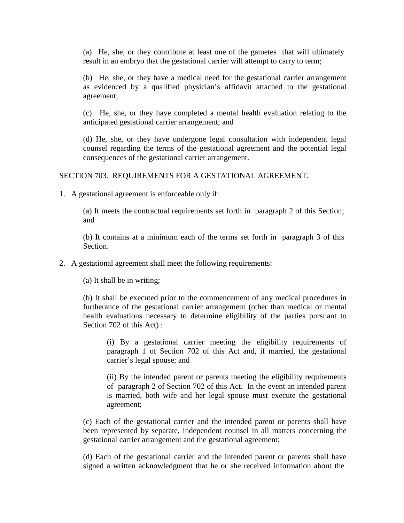(a) He, she, or they contribute at least one of the gametes that will ultimately result in an embryo that the gestational carrier will attempt to carry to term;

(b) He, she, or they have a medical need for the gestational carrier arrangement as evidenced by a qualified physician's affidavit attached to the gestational agreement;

(c) He, she, or they have completed a mental health evaluation relating to the anticipated gestational carrier arrangement; and

(d) He, she, or they have undergone legal consultation with independent legal counsel regarding the terms of the gestational agreement and the potential legal consequences of the gestational carrier arrangement.

SECTION 703. REQUIREMENTS FOR A GESTATIONAL AGREEMENT.

1. A gestational agreement is enforceable only if:

(a) It meets the contractual requirements set forth in paragraph 2 of this Section; and

(b) It contains at a minimum each of the terms set forth in paragraph 3 of this Section.

2. A gestational agreement shall meet the following requirements:

(a) It shall be in writing;

(b) It shall be executed prior to the commencement of any medical procedures in furtherance of the gestational carrier arrangement (other than medical or mental health evaluations necessary to determine eligibility of the parties pursuant to Section 702 of this Act) :

(i) By a gestational carrier meeting the eligibility requirements of paragraph 1 of Section 702 of this Act and, if married, the gestational carrier's legal spouse; and

(ii) By the intended parent or parents meeting the eligibility requirements of paragraph 2 of Section 702 of this Act. In the event an intended parent is married, both wife and her legal spouse must execute the gestational agreement;

(c) Each of the gestational carrier and the intended parent or parents shall have been represented by separate, independent counsel in all matters concerning the gestational carrier arrangement and the gestational agreement;

(d) Each of the gestational carrier and the intended parent or parents shall have signed a written acknowledgment that he or she received information about the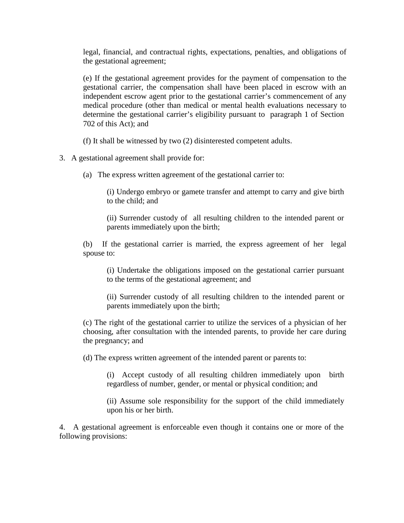legal, financial, and contractual rights, expectations, penalties, and obligations of the gestational agreement;

(e) If the gestational agreement provides for the payment of compensation to the gestational carrier, the compensation shall have been placed in escrow with an independent escrow agent prior to the gestational carrier's commencement of any medical procedure (other than medical or mental health evaluations necessary to determine the gestational carrier's eligibility pursuant to paragraph 1 of Section 702 of this Act); and

(f) It shall be witnessed by two (2) disinterested competent adults.

3. A gestational agreement shall provide for:

(a) The express written agreement of the gestational carrier to:

(i) Undergo embryo or gamete transfer and attempt to carry and give birth to the child; and

(ii) Surrender custody of all resulting children to the intended parent or parents immediately upon the birth;

(b) If the gestational carrier is married, the express agreement of her legal spouse to:

(i) Undertake the obligations imposed on the gestational carrier pursuant to the terms of the gestational agreement; and

(ii) Surrender custody of all resulting children to the intended parent or parents immediately upon the birth;

(c) The right of the gestational carrier to utilize the services of a physician of her choosing, after consultation with the intended parents, to provide her care during the pregnancy; and

(d) The express written agreement of the intended parent or parents to:

(i) Accept custody of all resulting children immediately upon birth regardless of number, gender, or mental or physical condition; and

(ii) Assume sole responsibility for the support of the child immediately upon his or her birth.

4. A gestational agreement is enforceable even though it contains one or more of the following provisions: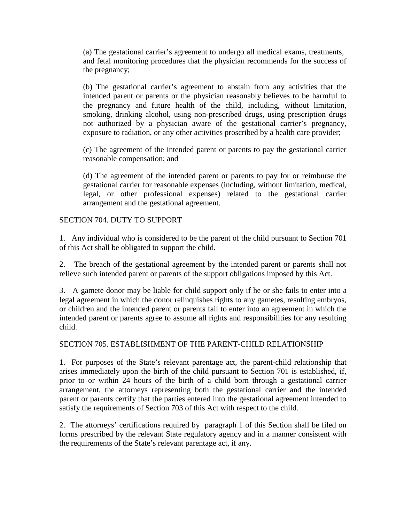(a) The gestational carrier's agreement to undergo all medical exams, treatments, and fetal monitoring procedures that the physician recommends for the success of the pregnancy;

(b) The gestational carrier's agreement to abstain from any activities that the intended parent or parents or the physician reasonably believes to be harmful to the pregnancy and future health of the child, including, without limitation, smoking, drinking alcohol, using non-prescribed drugs, using prescription drugs not authorized by a physician aware of the gestational carrier's pregnancy, exposure to radiation, or any other activities proscribed by a health care provider;

(c) The agreement of the intended parent or parents to pay the gestational carrier reasonable compensation; and

(d) The agreement of the intended parent or parents to pay for or reimburse the gestational carrier for reasonable expenses (including, without limitation, medical, legal, or other professional expenses) related to the gestational carrier arrangement and the gestational agreement.

#### SECTION 704. DUTY TO SUPPORT

1. Any individual who is considered to be the parent of the child pursuant to Section 701 of this Act shall be obligated to support the child.

2. The breach of the gestational agreement by the intended parent or parents shall not relieve such intended parent or parents of the support obligations imposed by this Act.

3. A gamete donor may be liable for child support only if he or she fails to enter into a legal agreement in which the donor relinquishes rights to any gametes, resulting embryos, or children and the intended parent or parents fail to enter into an agreement in which the intended parent or parents agree to assume all rights and responsibilities for any resulting child.

# SECTION 705. ESTABLISHMENT OF THE PARENT-CHILD RELATIONSHIP

1. For purposes of the State's relevant parentage act, the parent-child relationship that arises immediately upon the birth of the child pursuant to Section 701 is established, if, prior to or within 24 hours of the birth of a child born through a gestational carrier arrangement, the attorneys representing both the gestational carrier and the intended parent or parents certify that the parties entered into the gestational agreement intended to satisfy the requirements of Section 703 of this Act with respect to the child.

2. The attorneys' certifications required by paragraph 1 of this Section shall be filed on forms prescribed by the relevant State regulatory agency and in a manner consistent with the requirements of the State's relevant parentage act, if any.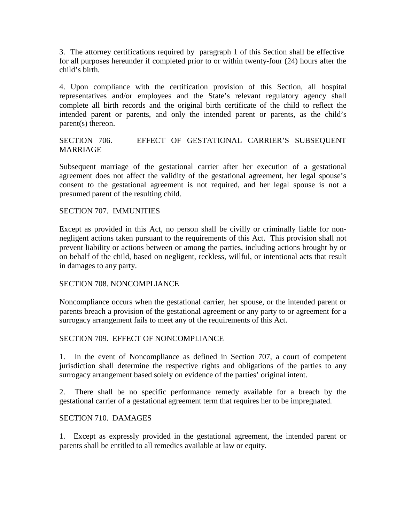3. The attorney certifications required by paragraph 1 of this Section shall be effective for all purposes hereunder if completed prior to or within twenty-four (24) hours after the child's birth.

4. Upon compliance with the certification provision of this Section, all hospital representatives and/or employees and the State's relevant regulatory agency shall complete all birth records and the original birth certificate of the child to reflect the intended parent or parents, and only the intended parent or parents, as the child's parent(s) thereon.

## SECTION 706. EFFECT OF GESTATIONAL CARRIER'S SUBSEQUENT MARRIAGE

Subsequent marriage of the gestational carrier after her execution of a gestational agreement does not affect the validity of the gestational agreement, her legal spouse's consent to the gestational agreement is not required, and her legal spouse is not a presumed parent of the resulting child.

#### SECTION 707. IMMUNITIES

Except as provided in this Act, no person shall be civilly or criminally liable for nonnegligent actions taken pursuant to the requirements of this Act. This provision shall not prevent liability or actions between or among the parties, including actions brought by or on behalf of the child, based on negligent, reckless, willful, or intentional acts that result in damages to any party.

#### SECTION 708. NONCOMPLIANCE

Noncompliance occurs when the gestational carrier, her spouse, or the intended parent or parents breach a provision of the gestational agreement or any party to or agreement for a surrogacy arrangement fails to meet any of the requirements of this Act.

#### SECTION 709. EFFECT OF NONCOMPLIANCE

1. In the event of Noncompliance as defined in Section 707, a court of competent jurisdiction shall determine the respective rights and obligations of the parties to any surrogacy arrangement based solely on evidence of the parties' original intent.

2. There shall be no specific performance remedy available for a breach by the gestational carrier of a gestational agreement term that requires her to be impregnated.

#### SECTION 710. DAMAGES

1. Except as expressly provided in the gestational agreement, the intended parent or parents shall be entitled to all remedies available at law or equity.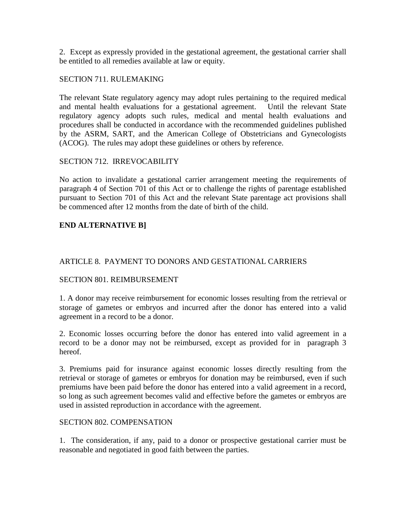2. Except as expressly provided in the gestational agreement, the gestational carrier shall be entitled to all remedies available at law or equity.

## SECTION 711. RULEMAKING

The relevant State regulatory agency may adopt rules pertaining to the required medical and mental health evaluations for a gestational agreement. Until the relevant State regulatory agency adopts such rules, medical and mental health evaluations and procedures shall be conducted in accordance with the recommended guidelines published by the ASRM, SART, and the American College of Obstetricians and Gynecologists (ACOG). The rules may adopt these guidelines or others by reference.

## SECTION 712. IRREVOCABILITY

No action to invalidate a gestational carrier arrangement meeting the requirements of paragraph 4 of Section 701 of this Act or to challenge the rights of parentage established pursuant to Section 701 of this Act and the relevant State parentage act provisions shall be commenced after 12 months from the date of birth of the child.

# **END ALTERNATIVE B]**

# ARTICLE 8. PAYMENT TO DONORS AND GESTATIONAL CARRIERS

#### SECTION 801. REIMBURSEMENT

1. A donor may receive reimbursement for economic losses resulting from the retrieval or storage of gametes or embryos and incurred after the donor has entered into a valid agreement in a record to be a donor.

2. Economic losses occurring before the donor has entered into valid agreement in a record to be a donor may not be reimbursed, except as provided for in paragraph 3 hereof.

3. Premiums paid for insurance against economic losses directly resulting from the retrieval or storage of gametes or embryos for donation may be reimbursed, even if such premiums have been paid before the donor has entered into a valid agreement in a record, so long as such agreement becomes valid and effective before the gametes or embryos are used in assisted reproduction in accordance with the agreement.

#### SECTION 802. COMPENSATION

1. The consideration, if any, paid to a donor or prospective gestational carrier must be reasonable and negotiated in good faith between the parties.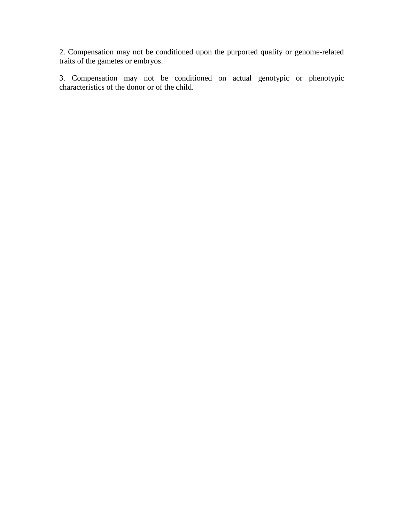2. Compensation may not be conditioned upon the purported quality or genome-related traits of the gametes or embryos.

3. Compensation may not be conditioned on actual genotypic or phenotypic characteristics of the donor or of the child.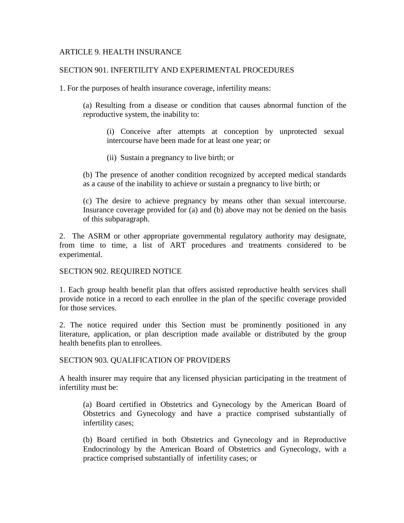#### ARTICLE 9. HEALTH INSURANCE

#### SECTION 901. INFERTILITY AND EXPERIMENTAL PROCEDURES

1. For the purposes of health insurance coverage, infertility means:

(a) Resulting from a disease or condition that causes abnormal function of the reproductive system, the inability to:

(i) Conceive after attempts at conception by unprotected sexual intercourse have been made for at least one year; or

(ii) Sustain a pregnancy to live birth; or

(b) The presence of another condition recognized by accepted medical standards as a cause of the inability to achieve or sustain a pregnancy to live birth; or

(c) The desire to achieve pregnancy by means other than sexual intercourse. Insurance coverage provided for (a) and (b) above may not be denied on the basis of this subparagraph.

2. The ASRM or other appropriate governmental regulatory authority may designate, from time to time, a list of ART procedures and treatments considered to be experimental.

#### SECTION 902. REQUIRED NOTICE

1. Each group health benefit plan that offers assisted reproductive health services shall provide notice in a record to each enrollee in the plan of the specific coverage provided for those services.

2. The notice required under this Section must be prominently positioned in any literature, application, or plan description made available or distributed by the group health benefits plan to enrollees.

#### SECTION 903. QUALIFICATION OF PROVIDERS

A health insurer may require that any licensed physician participating in the treatment of infertility must be:

(a) Board certified in Obstetrics and Gynecology by the American Board of Obstetrics and Gynecology and have a practice comprised substantially of infertility cases;

(b) Board certified in both Obstetrics and Gynecology and in Reproductive Endocrinology by the American Board of Obstetrics and Gynecology, with a practice comprised substantially of infertility cases; or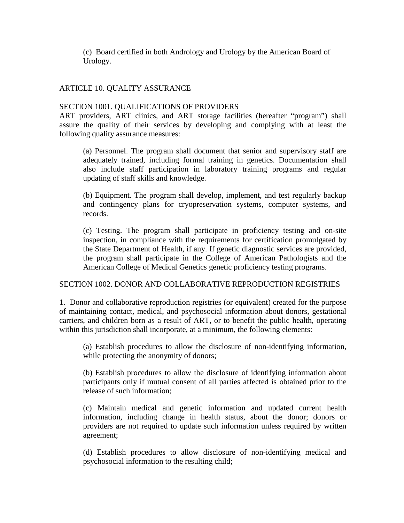(c) Board certified in both Andrology and Urology by the American Board of Urology.

## ARTICLE 10. QUALITY ASSURANCE

#### SECTION 1001. QUALIFICATIONS OF PROVIDERS

ART providers, ART clinics, and ART storage facilities (hereafter "program") shall assure the quality of their services by developing and complying with at least the following quality assurance measures:

(a) Personnel. The program shall document that senior and supervisory staff are adequately trained, including formal training in genetics. Documentation shall also include staff participation in laboratory training programs and regular updating of staff skills and knowledge.

(b) Equipment. The program shall develop, implement, and test regularly backup and contingency plans for cryopreservation systems, computer systems, and records.

(c) Testing. The program shall participate in proficiency testing and on-site inspection, in compliance with the requirements for certification promulgated by the State Department of Health, if any. If genetic diagnostic services are provided, the program shall participate in the College of American Pathologists and the American College of Medical Genetics genetic proficiency testing programs.

#### SECTION 1002. DONOR AND COLLABORATIVE REPRODUCTION REGISTRIES

1. Donor and collaborative reproduction registries (or equivalent) created for the purpose of maintaining contact, medical, and psychosocial information about donors, gestational carriers, and children born as a result of ART, or to benefit the public health, operating within this jurisdiction shall incorporate, at a minimum, the following elements:

(a) Establish procedures to allow the disclosure of non-identifying information, while protecting the anonymity of donors;

(b) Establish procedures to allow the disclosure of identifying information about participants only if mutual consent of all parties affected is obtained prior to the release of such information;

(c) Maintain medical and genetic information and updated current health information, including change in health status, about the donor; donors or providers are not required to update such information unless required by written agreement;

(d) Establish procedures to allow disclosure of non-identifying medical and psychosocial information to the resulting child;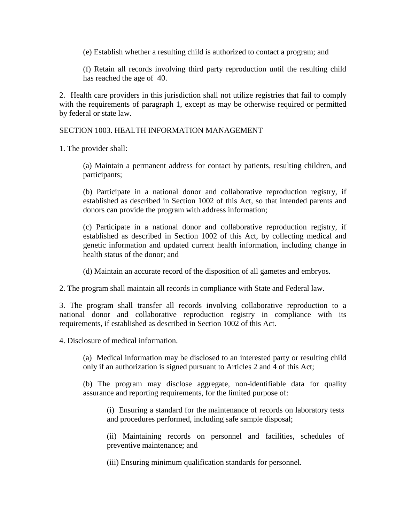(e) Establish whether a resulting child is authorized to contact a program; and

(f) Retain all records involving third party reproduction until the resulting child has reached the age of 40.

2. Health care providers in this jurisdiction shall not utilize registries that fail to comply with the requirements of paragraph 1, except as may be otherwise required or permitted by federal or state law.

SECTION 1003. HEALTH INFORMATION MANAGEMENT

1. The provider shall:

(a) Maintain a permanent address for contact by patients, resulting children, and participants;

(b) Participate in a national donor and collaborative reproduction registry, if established as described in Section 1002 of this Act, so that intended parents and donors can provide the program with address information;

(c) Participate in a national donor and collaborative reproduction registry, if established as described in Section 1002 of this Act, by collecting medical and genetic information and updated current health information, including change in health status of the donor; and

(d) Maintain an accurate record of the disposition of all gametes and embryos.

2. The program shall maintain all records in compliance with State and Federal law.

3. The program shall transfer all records involving collaborative reproduction to a national donor and collaborative reproduction registry in compliance with its requirements, if established as described in Section 1002 of this Act.

4. Disclosure of medical information.

(a) Medical information may be disclosed to an interested party or resulting child only if an authorization is signed pursuant to Articles 2 and 4 of this Act;

(b) The program may disclose aggregate, non-identifiable data for quality assurance and reporting requirements, for the limited purpose of:

(i) Ensuring a standard for the maintenance of records on laboratory tests and procedures performed, including safe sample disposal;

(ii) Maintaining records on personnel and facilities, schedules of preventive maintenance; and

(iii) Ensuring minimum qualification standards for personnel.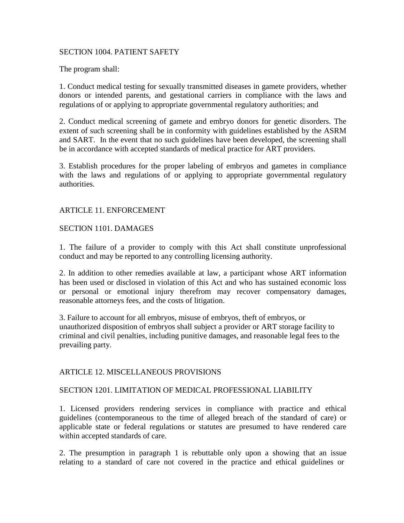#### SECTION 1004. PATIENT SAFETY

The program shall:

1. Conduct medical testing for sexually transmitted diseases in gamete providers, whether donors or intended parents, and gestational carriers in compliance with the laws and regulations of or applying to appropriate governmental regulatory authorities; and

2. Conduct medical screening of gamete and embryo donors for genetic disorders. The extent of such screening shall be in conformity with guidelines established by the ASRM and SART. In the event that no such guidelines have been developed, the screening shall be in accordance with accepted standards of medical practice for ART providers.

3. Establish procedures for the proper labeling of embryos and gametes in compliance with the laws and regulations of or applying to appropriate governmental regulatory authorities.

#### ARTICLE 11. ENFORCEMENT

#### SECTION 1101. DAMAGES

1. The failure of a provider to comply with this Act shall constitute unprofessional conduct and may be reported to any controlling licensing authority.

2. In addition to other remedies available at law, a participant whose ART information has been used or disclosed in violation of this Act and who has sustained economic loss or personal or emotional injury therefrom may recover compensatory damages, reasonable attorneys fees, and the costs of litigation.

3. Failure to account for all embryos, misuse of embryos, theft of embryos, or unauthorized disposition of embryos shall subject a provider or ART storage facility to criminal and civil penalties, including punitive damages, and reasonable legal fees to the prevailing party.

#### ARTICLE 12. MISCELLANEOUS PROVISIONS

## SECTION 1201. LIMITATION OF MEDICAL PROFESSIONAL LIABILITY

1. Licensed providers rendering services in compliance with practice and ethical guidelines (contemporaneous to the time of alleged breach of the standard of care) or applicable state or federal regulations or statutes are presumed to have rendered care within accepted standards of care.

2. The presumption in paragraph 1 is rebuttable only upon a showing that an issue relating to a standard of care not covered in the practice and ethical guidelines or